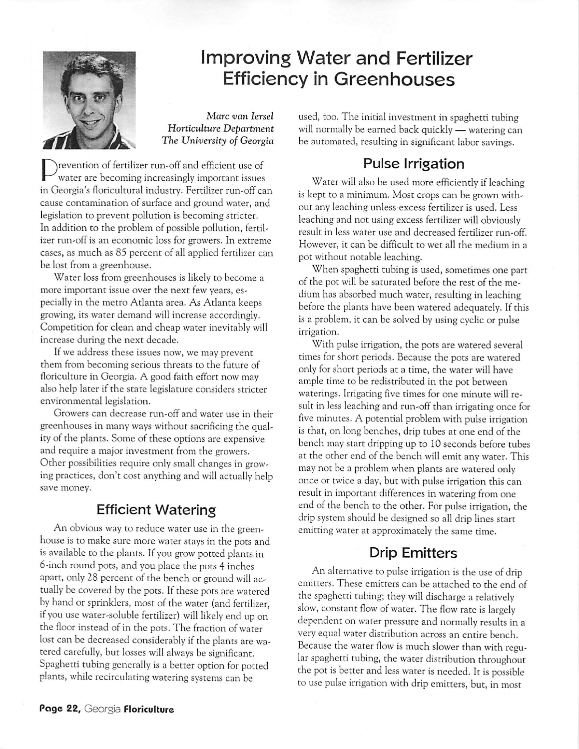

# Improving Water and Fertilizer Efficiency in Greenhouses

Marc **van lersel Horticulture Department The University of Georgia**

revention of fertilizer run-off and efficient use of water are becoming increasingly important issues in Georgia's floricultural industry. Fertilizer run-off can cause contamination of surface and ground water, and legislation to prevent pollution is becoming stricter. In addition to the problem of possible pollution, fertil izer run-off is an economic loss for growers. In extreme cases, as much as 85 percent of all applied fertilizer can be lost from a greenhouse.

Water loss from greenhouses is likely to become a more important issue over the next few years, es pecially in the metro Atlanta area. As Atlanta keeps growing, its water demand will increase accordingly. Competition for clean and cheap water inevitably will increase during the next decade.

If we address these issues now, we may prevent them from becoming serious threats to the future of floriculture in Georgia. A good faith effort now may also help later if the state legislature considers stricter environmental legislation.

Growers can decrease run-off and water use in their greenhouses in many ways without sacrificing the qual ity of the plants. Some of these options are expensive and require a major investment from the growers. Other possibilities require only small changes in grow ing practices, don't cost anything and will actually help save money.

# Efficient Watering

An obvious way to reduce water use in the green house is to make sure more water stays in the pots and is available to the plants. If you grow potted plants in 6-inch round pots, and you place the pots 4 inches apart, only 28 percent of the bench or ground will ac tually be covered by the pots. If these pots are watered by hand or sprinklers, most of the water (and fertilizer, ifyou use water-soluble fertilizer) will likely end up on the floor instead of in the pots. The fraction of water lost can be decreased considerably if the plants are watered carefully, but losses will always be significant. Spaghetti tubing generally is a better option for potted plants, while recirculating watering systems can be

used, too. The initial investment in spaghetti tubing will normally be earned back quickly — watering can be automated, resulting in significant labor savings.

## Pulse Irrigation

Water will also be used more efficiently if leaching is kept to a minimum. Most crops can be grown with out any leaching unless excess fertilizer is used. Less leaching and not using excess fertilizer will obviously result in less water use and decreased fertilizer run-off. However, it can be difficult to wet all the medium in a pot without notable leaching.

When spaghetti tubing is used, sometimes one part of the pot will be saturated before the rest of the me dium has absorbed much water, resulting in leaching before the plants have been watered adequately. If this is a problem, it can be solved by using cyclic or pulse irrigation.

With pulse irrigation, the pots are watered several times for short periods. Because the pots are watered only for short periods at a time, the water will have ample time to be redistributed in the pot between waterings. Irrigating five times for one minute will re sult in less leaching and run-off than irrigating once for five minutes. A potential problem with pulse irrigation is that, on long benches, drip tubes at one end of the bench may start dripping up to 10 seconds before tubes at the other end of the bench will emit any water. This maynot be a problem when plants are watered only once or twice a day, but with pulse irrigation this can result in important differences in watering from one end of the bench to the other. For pulse irrigation, the drip system should be designed so all drip lines start emitting water at approximately the same time.

# Drip Emitters

An alternative to pulse irrigation is the use of drip emitters. These emitters can be attached to the end of the spaghetti tubing; they will discharge a relatively slow, constant flow of water. The flow rate is largely dependent on water pressure and normally results in a very equal water distribution across an entire bench. Because the water flow is much slower than with regular spaghetti tubing, the water distribution throughout the pot is better and less water is needed. It is possible to use pulse irrigation with drip emitters, but, in most